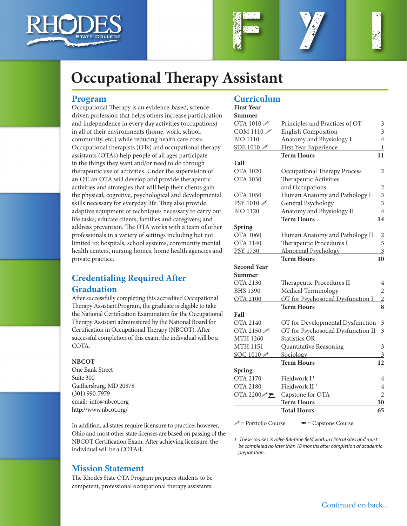





# **Occupational Therapy Assistant**

#### **Program**

Occupational Therapy is an evidence-based, sciencedriven profession that helps others increase participation and independence in every day activities (occupations) in all of their environments (home, work, school, community, etc.) while reducing health care costs. Occupational therapists (OTs) and occupational therapy assistants (OTAs) help people of all ages participate in the things they want and/or need to do through therapeutic use of activities. Under the supervision of an OT, an OTA will develop and provide therapeutic activities and strategies that will help their clients gain the physical, cognitive, psychological and developmental skills necessary for everyday life. They also provide adaptive equipment or techniques necessary to carry out life tasks; educate clients, families and caregivers; and address prevention. The OTA works with a team of other professionals in a variety of settings including but not limited to: hospitals, school systems, community mental health centers, nursing homes, home health agencies and private practice.

# **Credentialing Required After Graduation**

After successfully completing this accredited Occupational Therapy Assistant Program, the graduate is eligible to take the National Certification Examination for the Occupational Therapy Assistant administered by the National Board for Certification in Occupational Therapy (NBCOT). After successful completion of this exam, the individual will be a COTA.

#### **NBCOT**

One Bank Street Suite 300 Gaithersburg, MD 20878 (301) 990-7979 email: info@nbcot.org http://www.nbcot.org/

In addition, all states require licensure to practice; however, Ohio and most other state licenses are based on passing of the NBCOT Certification Exam. After achieving licensure, the individual will be a COTA/L.

## **Mission Statement**

The Rhodes State OTA Program prepares students to be competent, professional occupational therapy assistants.

## **Curriculum**

| <b>First Year</b>                                               |                                    |                |
|-----------------------------------------------------------------|------------------------------------|----------------|
| Summer                                                          |                                    |                |
| OTA 1010 $\mathscr P$                                           | Principles and Practices of OT     | 3              |
| COM 1110 $\mathscr N$                                           | <b>English Composition</b>         | 3              |
| <b>BIO 1110</b>                                                 | Anatomy and Physiology I           | $\overline{4}$ |
| SDE 1010                                                        | First Year Experience              | 1              |
|                                                                 | <b>Term Hours</b>                  | 11             |
| Fall                                                            |                                    |                |
| <b>OTA 1020</b>                                                 | Occupational Therapy Process       | 2              |
| <b>OTA 1030</b>                                                 | Therapeutic Activities             |                |
|                                                                 | and Occupations                    | 2              |
| <b>OTA 1050</b>                                                 | Human Anatomy and Pathology I      | 3              |
| $\mathrm{PSY}$ 1010 $\mathscr{P}$                               | General Psychology                 | 3              |
| <b>BIO 1120</b>                                                 | <b>Anatomy and Physiology II</b>   | $\overline{4}$ |
|                                                                 | <b>Term Hours</b>                  | 14             |
| Spring                                                          |                                    |                |
| <b>OTA 1060</b>                                                 | Human Anatomy and Pathology II     | 2              |
| <b>OTA 1140</b>                                                 | Therapeutic Procedures I           | 5              |
| <b>PSY 1730</b>                                                 | Abnormal Psychology                | $\overline{3}$ |
|                                                                 | <b>Term Hours</b>                  | 10             |
| <b>Second Year</b>                                              |                                    |                |
| Summer                                                          |                                    |                |
| OTA 2130                                                        | Therapeutic Procedures II          | 4              |
| <b>BHS 1390</b>                                                 | Medical Terminology                | $\overline{2}$ |
| <b>OTA 2100</b>                                                 | OT for Psychosocial Dysfunction I  | $\overline{2}$ |
|                                                                 | <b>Term Hours</b>                  | 8              |
| Fall                                                            |                                    |                |
| <b>OTA 2140</b>                                                 | OT for Developmental Dysfunction   | 3              |
| OTA 2150 $\mathscr P$                                           | OT for Psychosocial Dysfunction II | 3              |
| <b>MTH 1260</b>                                                 | <b>Statistics OR</b>               |                |
| <b>MTH 1151</b>                                                 | Quantitative Reasoning             | 3              |
| SOC 1010                                                        | Sociology                          | $\mathfrak{Z}$ |
|                                                                 | <b>Term Hours</b>                  | 12             |
| Spring                                                          |                                    |                |
| <b>OTA 2170</b>                                                 | Fieldwork I <sup>1</sup>           | 4              |
| <b>OTA 2180</b>                                                 | Fieldwork II <sup>1</sup>          | $\overline{4}$ |
| $\overline{\text{OTA 2200\textcircled{\#}}\blacktriangleright}$ | Capstone for OTA                   | $\overline{2}$ |
|                                                                 | <b>Term Hours</b>                  | 10             |
|                                                                 | <b>Total Hours</b>                 | 65             |
|                                                                 |                                    |                |

 $\mathcal{P}$  = Portfolio Course  $\mathcal{P}$  = Capstone Course

*1 These courses involve full-time field work in clinical sites and must be completed no later than 18 months after completion of academic preparation.*